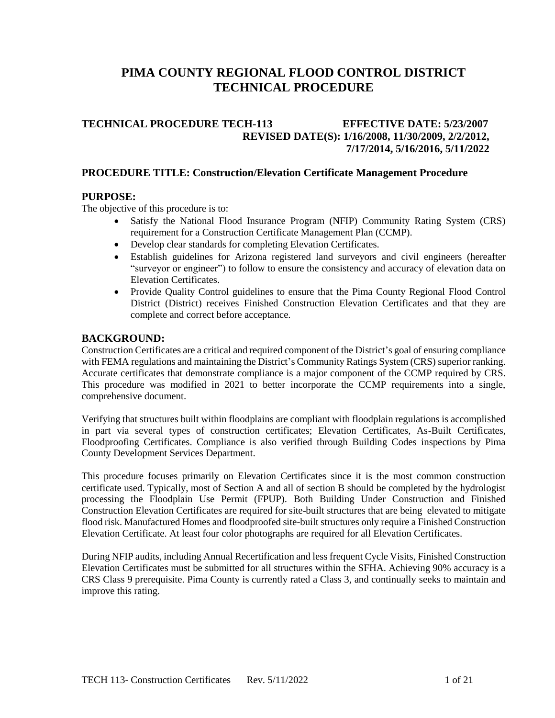# **PIMA COUNTY REGIONAL FLOOD CONTROL DISTRICT TECHNICAL PROCEDURE**

#### **TECHNICAL PROCEDURE TECH-113 EFFECTIVE DATE: 5/23/2007 REVISED DATE(S): 1/16/2008, 11/30/2009, 2/2/2012, 7/17/2014, 5/16/2016, 5/11/2022**

#### **PROCEDURE TITLE: Construction/Elevation Certificate Management Procedure**

#### **PURPOSE:**

The objective of this procedure is to:

- Satisfy the National Flood Insurance Program (NFIP) Community Rating System (CRS) requirement for a Construction Certificate Management Plan (CCMP).
- Develop clear standards for completing Elevation Certificates.
- Establish guidelines for Arizona registered land surveyors and civil engineers (hereafter "surveyor or engineer") to follow to ensure the consistency and accuracy of elevation data on Elevation Certificates.
- Provide Quality Control guidelines to ensure that the Pima County Regional Flood Control District (District) receives Finished Construction Elevation Certificates and that they are complete and correct before acceptance.

#### **BACKGROUND:**

Construction Certificates are a critical and required component of the District's goal of ensuring compliance with FEMA regulations and maintaining the District's Community Ratings System (CRS) superior ranking. Accurate certificates that demonstrate compliance is a major component of the CCMP required by CRS. This procedure was modified in 2021 to better incorporate the CCMP requirements into a single, comprehensive document.

Verifying that structures built within floodplains are compliant with floodplain regulations is accomplished in part via several types of construction certificates; Elevation Certificates, As-Built Certificates, Floodproofing Certificates. Compliance is also verified through Building Codes inspections by Pima County Development Services Department.

This procedure focuses primarily on Elevation Certificates since it is the most common construction certificate used. Typically, most of Section A and all of section B should be completed by the hydrologist processing the Floodplain Use Permit (FPUP). Both Building Under Construction and Finished Construction Elevation Certificates are required for site-built structures that are being elevated to mitigate flood risk. Manufactured Homes and floodproofed site-built structures only require a Finished Construction Elevation Certificate. At least four color photographs are required for all Elevation Certificates.

During NFIP audits, including Annual Recertification and less frequent Cycle Visits, Finished Construction Elevation Certificates must be submitted for all structures within the SFHA. Achieving 90% accuracy is a CRS Class 9 prerequisite. Pima County is currently rated a Class 3, and continually seeks to maintain and improve this rating.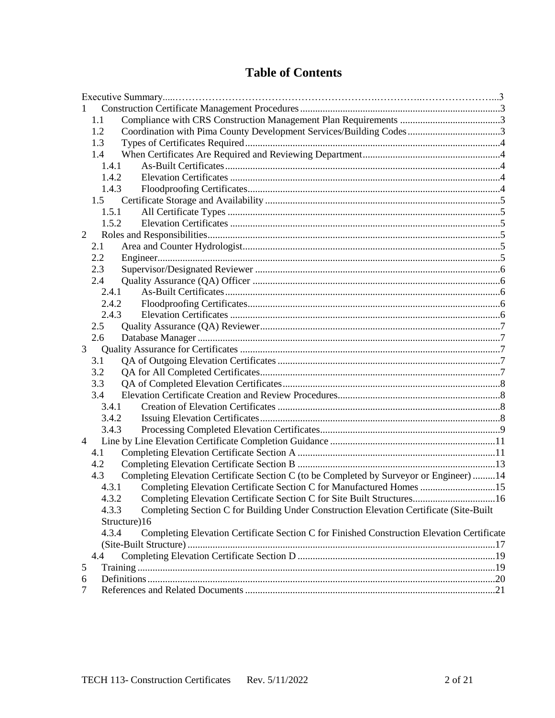# **Table of Contents**

|                | 1.1                                                                                                 |  |
|----------------|-----------------------------------------------------------------------------------------------------|--|
|                | Coordination with Pima County Development Services/Building Codes3<br>1.2                           |  |
|                | 1.3                                                                                                 |  |
|                | 1.4                                                                                                 |  |
|                | 1.4.1                                                                                               |  |
|                | 1.4.2                                                                                               |  |
|                | 1.4.3                                                                                               |  |
|                | 1.5                                                                                                 |  |
|                | 1.5.1                                                                                               |  |
|                | 1.5.2                                                                                               |  |
| 2              |                                                                                                     |  |
|                | 2.1                                                                                                 |  |
|                | 2.2                                                                                                 |  |
|                | 2.3                                                                                                 |  |
|                | 2.4                                                                                                 |  |
|                | 2.4.1                                                                                               |  |
|                | 2.4.2                                                                                               |  |
|                | 2.4.3                                                                                               |  |
|                | 2.5                                                                                                 |  |
|                | 2.6                                                                                                 |  |
| 3              |                                                                                                     |  |
|                | 3.1                                                                                                 |  |
|                | 3.2                                                                                                 |  |
|                | 3.3                                                                                                 |  |
|                | 3.4                                                                                                 |  |
|                | 3.4.1                                                                                               |  |
|                | 3.4.2                                                                                               |  |
|                | 3.4.3                                                                                               |  |
| $\overline{4}$ |                                                                                                     |  |
|                | 4.1                                                                                                 |  |
|                | 4.2                                                                                                 |  |
|                | Completing Elevation Certificate Section C (to be Completed by Surveyor or Engineer) 14<br>4.3      |  |
|                | Completing Elevation Certificate Section C for Manufactured Homes 15<br>4.3.1                       |  |
|                | 4.3.2 Completing Elevation Certificate Section C for Site Built Structures16                        |  |
|                | Completing Section C for Building Under Construction Elevation Certificate (Site-Built<br>4.3.3     |  |
|                | Structure)16                                                                                        |  |
|                | Completing Elevation Certificate Section C for Finished Construction Elevation Certificate<br>4.3.4 |  |
|                |                                                                                                     |  |
|                | 4.4                                                                                                 |  |
| 5              |                                                                                                     |  |
| 6              |                                                                                                     |  |
| $\tau$         |                                                                                                     |  |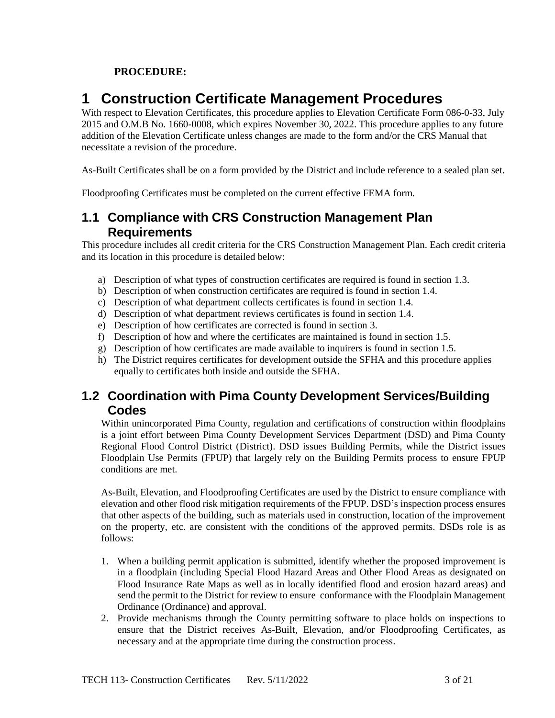### **PROCEDURE:**

# <span id="page-2-0"></span>**1 Construction Certificate Management Procedures**

With respect to Elevation Certificates, this procedure applies to Elevation Certificate Form 086-0-33, July 2015 and O.M.B No. 1660-0008, which expires November 30, 2022. This procedure applies to any future addition of the Elevation Certificate unless changes are made to the form and/or the CRS Manual that necessitate a revision of the procedure.

As-Built Certificates shall be on a form provided by the District and include reference to a sealed plan set.

Floodproofing Certificates must be completed on the current effective FEMA form.

### <span id="page-2-1"></span>**1.1 Compliance with CRS Construction Management Plan Requirements**

This procedure includes all credit criteria for the CRS Construction Management Plan. Each credit criteria and its location in this procedure is detailed below:

- a) Description of what types of construction certificates are required is found in section [1.3.](#page-3-0)
- b) Description of when construction certificates are required is found in section [1.4.](#page-3-1)
- c) Description of what department collects certificates is found in section [1.4.](#page-3-1)
- d) Description of what department reviews certificates is found in section [1.4.](#page-3-1)
- e) Description of how certificates are corrected is found in section [3.](#page-6-2)
- f) Description of how and where the certificates are maintained is found in section [1.5.](#page-4-0)
- g) Description of how certificates are made available to inquirers is found in section [1.5.](#page-4-0)
- h) The District requires certificates for development outside the SFHA and this procedure applies equally to certificates both inside and outside the SFHA.

## <span id="page-2-2"></span>**1.2 Coordination with Pima County Development Services/Building Codes**

Within unincorporated Pima County, regulation and certifications of construction within floodplains is a joint effort between Pima County Development Services Department (DSD) and Pima County Regional Flood Control District (District). DSD issues Building Permits, while the District issues Floodplain Use Permits (FPUP) that largely rely on the Building Permits process to ensure FPUP conditions are met.

As-Built, Elevation, and Floodproofing Certificates are used by the District to ensure compliance with elevation and other flood risk mitigation requirements of the FPUP. DSD's inspection process ensures that other aspects of the building, such as materials used in construction, location of the improvement on the property, etc. are consistent with the conditions of the approved permits. DSDs role is as follows:

- 1. When a building permit application is submitted, identify whether the proposed improvement is in a floodplain (including Special Flood Hazard Areas and Other Flood Areas as designated on Flood Insurance Rate Maps as well as in locally identified flood and erosion hazard areas) and send the permit to the District for review to ensure conformance with the Floodplain Management Ordinance (Ordinance) and approval.
- 2. Provide mechanisms through the County permitting software to place holds on inspections to ensure that the District receives As-Built, Elevation, and/or Floodproofing Certificates, as necessary and at the appropriate time during the construction process.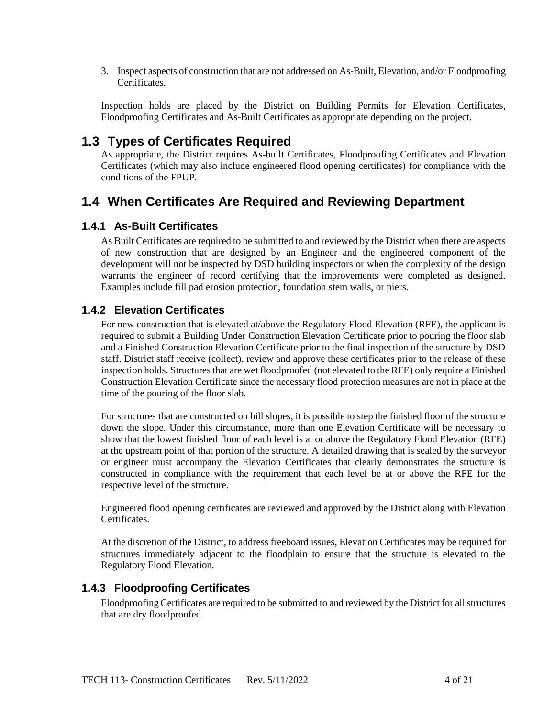3. Inspect aspects of construction that are not addressed on As-Built, Elevation, and/or Floodproofing Certificates.

Inspection holds are placed by the District on Building Permits for Elevation Certificates, Floodproofing Certificates and As-Built Certificates as appropriate depending on the project.

## <span id="page-3-0"></span>**1.3 Types of Certificates Required**

As appropriate, the District requires As-built Certificates, Floodproofing Certificates and Elevation Certificates (which may also include engineered flood opening certificates) for compliance with the conditions of the FPUP.

# <span id="page-3-1"></span>**1.4 When Certificates Are Required and Reviewing Department**

#### <span id="page-3-2"></span>**1.4.1 As-Built Certificates**

As Built Certificates are required to be submitted to and reviewed by the District when there are aspects of new construction that are designed by an Engineer and the engineered component of the development will not be inspected by DSD building inspectors or when the complexity of the design warrants the engineer of record certifying that the improvements were completed as designed. Examples include fill pad erosion protection, foundation stem walls, or piers.

### <span id="page-3-3"></span>**1.4.2 Elevation Certificates**

For new construction that is elevated at/above the Regulatory Flood Elevation (RFE), the applicant is required to submit a Building Under Construction Elevation Certificate prior to pouring the floor slab and a Finished Construction Elevation Certificate prior to the final inspection of the structure by DSD staff. District staff receive (collect), review and approve these certificates prior to the release of these inspection holds. Structures that are wet floodproofed (not elevated to the RFE) only require a Finished Construction Elevation Certificate since the necessary flood protection measures are not in place at the time of the pouring of the floor slab.

For structures that are constructed on hill slopes, it is possible to step the finished floor of the structure down the slope. Under this circumstance, more than one Elevation Certificate will be necessary to show that the lowest finished floor of each level is at or above the Regulatory Flood Elevation (RFE) at the upstream point of that portion of the structure. A detailed drawing that is sealed by the surveyor or engineer must accompany the Elevation Certificates that clearly demonstrates the structure is constructed in compliance with the requirement that each level be at or above the RFE for the respective level of the structure.

Engineered flood opening certificates are reviewed and approved by the District along with Elevation Certificates.

At the discretion of the District, to address freeboard issues, Elevation Certificates may be required for structures immediately adjacent to the floodplain to ensure that the structure is elevated to the Regulatory Flood Elevation.

#### <span id="page-3-4"></span>**1.4.3 Floodproofing Certificates**

Floodproofing Certificates are required to be submitted to and reviewed by the District for all structures that are dry floodproofed.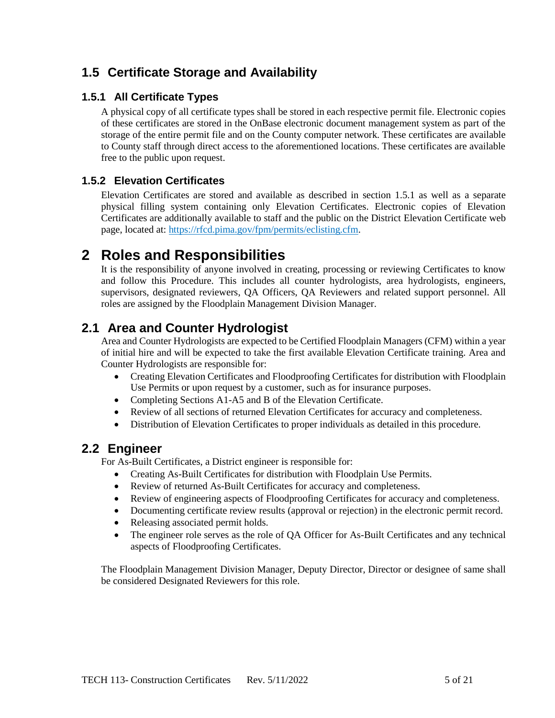# <span id="page-4-0"></span>**1.5 Certificate Storage and Availability**

### <span id="page-4-1"></span>**1.5.1 All Certificate Types**

A physical copy of all certificate types shall be stored in each respective permit file. Electronic copies of these certificates are stored in the OnBase electronic document management system as part of the storage of the entire permit file and on the County computer network. These certificates are available to County staff through direct access to the aforementioned locations. These certificates are available free to the public upon request.

### <span id="page-4-2"></span>**1.5.2 Elevation Certificates**

Elevation Certificates are stored and available as described in section [1.5.1](#page-4-1) as well as a separate physical filling system containing only Elevation Certificates. Electronic copies of Elevation Certificates are additionally available to staff and the public on the District Elevation Certificate web page, located at: [https://rfcd.pima.gov/fpm/permits/eclisting.cfm.](https://rfcd.pima.gov/fpm/permits/eclisting.cfm)

# <span id="page-4-3"></span>**2 Roles and Responsibilities**

It is the responsibility of anyone involved in creating, processing or reviewing Certificates to know and follow this Procedure. This includes all counter hydrologists, area hydrologists, engineers, supervisors, designated reviewers, QA Officers, QA Reviewers and related support personnel. All roles are assigned by the Floodplain Management Division Manager.

## <span id="page-4-4"></span>**2.1 Area and Counter Hydrologist**

Area and Counter Hydrologists are expected to be Certified Floodplain Managers (CFM) within a year of initial hire and will be expected to take the first available Elevation Certificate training. Area and Counter Hydrologists are responsible for:

- Creating Elevation Certificates and Floodproofing Certificates for distribution with Floodplain Use Permits or upon request by a customer, such as for insurance purposes.
- Completing Sections A1-A5 and B of the Elevation Certificate.
- Review of all sections of returned Elevation Certificates for accuracy and completeness.
- Distribution of Elevation Certificates to proper individuals as detailed in this procedure.

### <span id="page-4-5"></span>**2.2 Engineer**

For As-Built Certificates, a District engineer is responsible for:

- Creating As-Built Certificates for distribution with Floodplain Use Permits.
- Review of returned As-Built Certificates for accuracy and completeness.
- Review of engineering aspects of Floodproofing Certificates for accuracy and completeness.
- Documenting certificate review results (approval or rejection) in the electronic permit record.
- Releasing associated permit holds.
- The engineer role serves as the role of QA Officer for As-Built Certificates and any technical aspects of Floodproofing Certificates.

The Floodplain Management Division Manager, Deputy Director, Director or designee of same shall be considered Designated Reviewers for this role.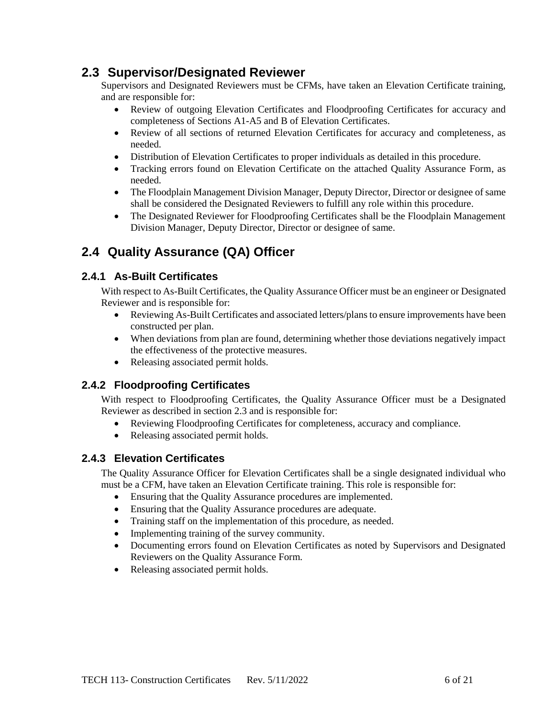## <span id="page-5-0"></span>**2.3 Supervisor/Designated Reviewer**

Supervisors and Designated Reviewers must be CFMs, have taken an Elevation Certificate training, and are responsible for:

- Review of outgoing Elevation Certificates and Floodproofing Certificates for accuracy and completeness of Sections A1-A5 and B of Elevation Certificates.
- Review of all sections of returned Elevation Certificates for accuracy and completeness, as needed.
- Distribution of Elevation Certificates to proper individuals as detailed in this procedure.
- Tracking errors found on Elevation Certificate on the attached Quality Assurance Form, as needed.
- The Floodplain Management Division Manager, Deputy Director, Director or designee of same shall be considered the Designated Reviewers to fulfill any role within this procedure.
- The Designated Reviewer for Floodproofing Certificates shall be the Floodplain Management Division Manager, Deputy Director, Director or designee of same.

# <span id="page-5-1"></span>**2.4 Quality Assurance (QA) Officer**

### <span id="page-5-2"></span>**2.4.1 As-Built Certificates**

With respect to As-Built Certificates, the Quality Assurance Officer must be an engineer or Designated Reviewer and is responsible for:

- Reviewing As-Built Certificates and associated letters/plans to ensure improvements have been constructed per plan.
- When deviations from plan are found, determining whether those deviations negatively impact the effectiveness of the protective measures.
- Releasing associated permit holds.

## <span id="page-5-3"></span>**2.4.2 Floodproofing Certificates**

With respect to Floodproofing Certificates, the Quality Assurance Officer must be a Designated Reviewer as described in section [2.3](#page-5-0) and is responsible for:

- Reviewing Floodproofing Certificates for completeness, accuracy and compliance.
- Releasing associated permit holds.

### <span id="page-5-4"></span>**2.4.3 Elevation Certificates**

The Quality Assurance Officer for Elevation Certificates shall be a single designated individual who must be a CFM, have taken an Elevation Certificate training. This role is responsible for:

- Ensuring that the Quality Assurance procedures are implemented.
- Ensuring that the Quality Assurance procedures are adequate.
- Training staff on the implementation of this procedure, as needed.
- Implementing training of the survey community.
- Documenting errors found on Elevation Certificates as noted by Supervisors and Designated Reviewers on the Quality Assurance Form.
- Releasing associated permit holds.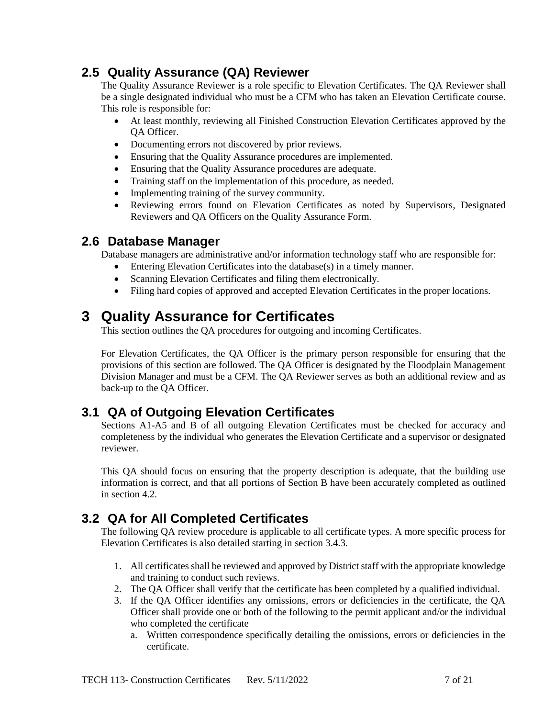## <span id="page-6-0"></span>**2.5 Quality Assurance (QA) Reviewer**

The Quality Assurance Reviewer is a role specific to Elevation Certificates. The QA Reviewer shall be a single designated individual who must be a CFM who has taken an Elevation Certificate course. This role is responsible for:

- At least monthly, reviewing all Finished Construction Elevation Certificates approved by the QA Officer.
- Documenting errors not discovered by prior reviews.
- Ensuring that the Quality Assurance procedures are implemented.
- Ensuring that the Quality Assurance procedures are adequate.
- Training staff on the implementation of this procedure, as needed.
- Implementing training of the survey community.
- Reviewing errors found on Elevation Certificates as noted by Supervisors, Designated Reviewers and QA Officers on the Quality Assurance Form.

### <span id="page-6-1"></span>**2.6 Database Manager**

Database managers are administrative and/or information technology staff who are responsible for:

- Entering Elevation Certificates into the database(s) in a timely manner.
- Scanning Elevation Certificates and filing them electronically.
- Filing hard copies of approved and accepted Elevation Certificates in the proper locations.

# <span id="page-6-2"></span>**3 Quality Assurance for Certificates**

This section outlines the QA procedures for outgoing and incoming Certificates.

For Elevation Certificates, the QA Officer is the primary person responsible for ensuring that the provisions of this section are followed. The QA Officer is designated by the Floodplain Management Division Manager and must be a CFM. The QA Reviewer serves as both an additional review and as back-up to the QA Officer.

# <span id="page-6-3"></span>**3.1 QA of Outgoing Elevation Certificates**

Sections A1-A5 and B of all outgoing Elevation Certificates must be checked for accuracy and completeness by the individual who generates the Elevation Certificate and a supervisor or designated reviewer.

This QA should focus on ensuring that the property description is adequate, that the building use information is correct, and that all portions of Section B have been accurately completed as outlined in section [4.2.](#page-12-0)

# <span id="page-6-4"></span>**3.2 QA for All Completed Certificates**

The following QA review procedure is applicable to all certificate types. A more specific process for Elevation Certificates is also detailed starting in section [3.4.3.](#page-8-0)

- 1. All certificates shall be reviewed and approved by District staff with the appropriate knowledge and training to conduct such reviews.
- 2. The QA Officer shall verify that the certificate has been completed by a qualified individual.
- 3. If the QA Officer identifies any omissions, errors or deficiencies in the certificate, the QA Officer shall provide one or both of the following to the permit applicant and/or the individual who completed the certificate
	- a. Written correspondence specifically detailing the omissions, errors or deficiencies in the certificate.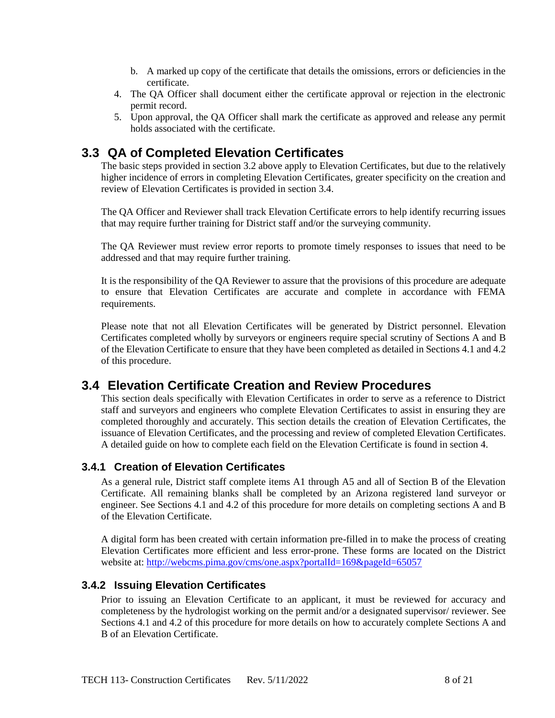- b. A marked up copy of the certificate that details the omissions, errors or deficiencies in the certificate.
- 4. The QA Officer shall document either the certificate approval or rejection in the electronic permit record.
- 5. Upon approval, the QA Officer shall mark the certificate as approved and release any permit holds associated with the certificate.

## <span id="page-7-0"></span>**3.3 QA of Completed Elevation Certificates**

The basic steps provided in section [3.2](#page-6-4) above apply to Elevation Certificates, but due to the relatively higher incidence of errors in completing Elevation Certificates, greater specificity on the creation and review of Elevation Certificates is provided in sectio[n 3.4.](#page-7-1)

The QA Officer and Reviewer shall track Elevation Certificate errors to help identify recurring issues that may require further training for District staff and/or the surveying community.

The QA Reviewer must review error reports to promote timely responses to issues that need to be addressed and that may require further training.

It is the responsibility of the QA Reviewer to assure that the provisions of this procedure are adequate to ensure that Elevation Certificates are accurate and complete in accordance with FEMA requirements.

Please note that not all Elevation Certificates will be generated by District personnel. Elevation Certificates completed wholly by surveyors or engineers require special scrutiny of Sections A and B of the Elevation Certificate to ensure that they have been completed as detailed in Section[s 4.1](#page-10-1) an[d 4.2](#page-12-0) of this procedure.

## <span id="page-7-1"></span>**3.4 Elevation Certificate Creation and Review Procedures**

This section deals specifically with Elevation Certificates in order to serve as a reference to District staff and surveyors and engineers who complete Elevation Certificates to assist in ensuring they are completed thoroughly and accurately. This section details the creation of Elevation Certificates, the issuance of Elevation Certificates, and the processing and review of completed Elevation Certificates. A detailed guide on how to complete each field on the Elevation Certificate is found in section [4.](#page-10-0)

### <span id="page-7-2"></span>**3.4.1 Creation of Elevation Certificates**

As a general rule, District staff complete items A1 through A5 and all of Section B of the Elevation Certificate. All remaining blanks shall be completed by an Arizona registered land surveyor or engineer. See Sections [4.1](#page-10-1) and [4.2](#page-12-0) of this procedure for more details on completing sections A and B of the Elevation Certificate.

A digital form has been created with certain information pre-filled in to make the process of creating Elevation Certificates more efficient and less error-prone. These forms are located on the District website at: <http://webcms.pima.gov/cms/one.aspx?portalId=169&pageId=65057>

### <span id="page-7-3"></span>**3.4.2 Issuing Elevation Certificates**

Prior to issuing an Elevation Certificate to an applicant, it must be reviewed for accuracy and completeness by the hydrologist working on the permit and/or a designated supervisor/ reviewer. See Section[s 4.1](#page-10-1) and [4.2](#page-12-0) of this procedure for more details on how to accurately complete Sections A and B of an Elevation Certificate.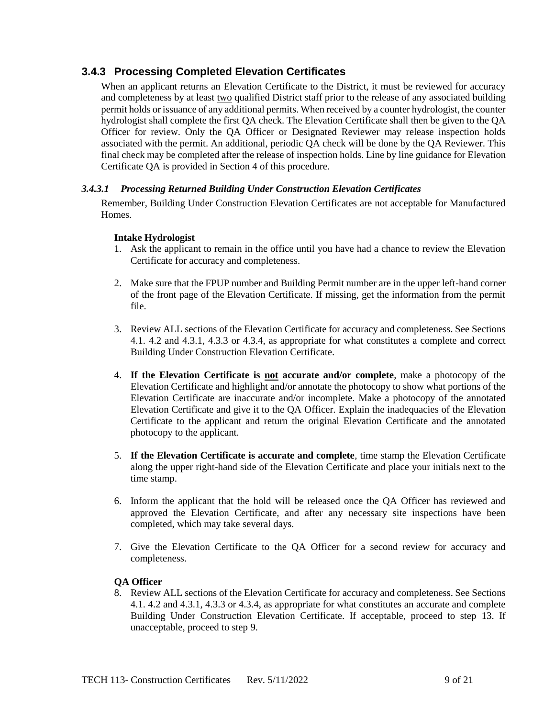### <span id="page-8-0"></span>**3.4.3 Processing Completed Elevation Certificates**

When an applicant returns an Elevation Certificate to the District, it must be reviewed for accuracy and completeness by at least two qualified District staff prior to the release of any associated building permit holds or issuance of any additional permits. When received by a counter hydrologist, the counter hydrologist shall complete the first QA check. The Elevation Certificate shall then be given to the QA Officer for review. Only the QA Officer or Designated Reviewer may release inspection holds associated with the permit. An additional, periodic QA check will be done by the QA Reviewer. This final check may be completed after the release of inspection holds. Line by line guidance for Elevation Certificate QA is provided in Section [4](#page-10-0) of this procedure.

#### <span id="page-8-1"></span>*3.4.3.1 Processing Returned Building Under Construction Elevation Certificates*

Remember, Building Under Construction Elevation Certificates are not acceptable for Manufactured Homes.

#### **Intake Hydrologist**

- 1. Ask the applicant to remain in the office until you have had a chance to review the Elevation Certificate for accuracy and completeness.
- 2. Make sure that the FPUP number and Building Permit number are in the upper left-hand corner of the front page of the Elevation Certificate. If missing, get the information from the permit file.
- 3. Review ALL sections of the Elevation Certificate for accuracy and completeness. See Sections [4.1.](#page-10-1) [4.2](#page-12-0) and [4.3.1,](#page-14-0) [4.3.3](#page-15-1) or [4.3.4,](#page-16-0) as appropriate for what constitutes a complete and correct Building Under Construction Elevation Certificate.
- 4. **If the Elevation Certificate is not accurate and/or complete**, make a photocopy of the Elevation Certificate and highlight and/or annotate the photocopy to show what portions of the Elevation Certificate are inaccurate and/or incomplete. Make a photocopy of the annotated Elevation Certificate and give it to the QA Officer. Explain the inadequacies of the Elevation Certificate to the applicant and return the original Elevation Certificate and the annotated photocopy to the applicant.
- 5. **If the Elevation Certificate is accurate and complete**, time stamp the Elevation Certificate along the upper right-hand side of the Elevation Certificate and place your initials next to the time stamp.
- 6. Inform the applicant that the hold will be released once the QA Officer has reviewed and approved the Elevation Certificate, and after any necessary site inspections have been completed, which may take several days.
- 7. Give the Elevation Certificate to the QA Officer for a second review for accuracy and completeness.

#### **QA Officer**

8. Review ALL sections of the Elevation Certificate for accuracy and completeness. See Sections [4.1.](#page-10-1) [4.2](#page-12-0) and [4.3.1,](#page-14-0) [4.3.3](#page-15-1) or [4.3.4,](#page-16-0) as appropriate for what constitutes an accurate and complete Building Under Construction Elevation Certificate. If acceptable, proceed to step [13.](#page-9-0) If unacceptable, proceed to step [9.](#page-9-1)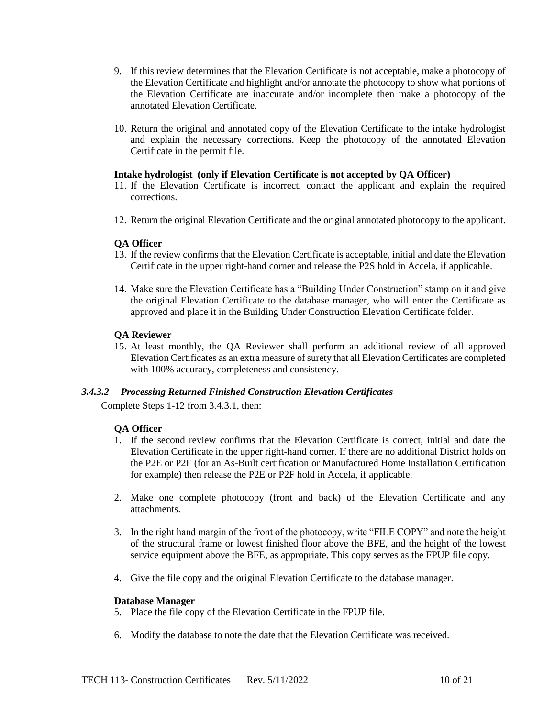- <span id="page-9-1"></span>9. If this review determines that the Elevation Certificate is not acceptable, make a photocopy of the Elevation Certificate and highlight and/or annotate the photocopy to show what portions of the Elevation Certificate are inaccurate and/or incomplete then make a photocopy of the annotated Elevation Certificate.
- 10. Return the original and annotated copy of the Elevation Certificate to the intake hydrologist and explain the necessary corrections. Keep the photocopy of the annotated Elevation Certificate in the permit file.

#### **Intake hydrologist (only if Elevation Certificate is not accepted by QA Officer)**

- 11. If the Elevation Certificate is incorrect, contact the applicant and explain the required corrections.
- 12. Return the original Elevation Certificate and the original annotated photocopy to the applicant.

#### **QA Officer**

- <span id="page-9-0"></span>13. If the review confirms that the Elevation Certificate is acceptable, initial and date the Elevation Certificate in the upper right-hand corner and release the P2S hold in Accela, if applicable.
- 14. Make sure the Elevation Certificate has a "Building Under Construction" stamp on it and give the original Elevation Certificate to the database manager, who will enter the Certificate as approved and place it in the Building Under Construction Elevation Certificate folder.

#### **QA Reviewer**

15. At least monthly, the QA Reviewer shall perform an additional review of all approved Elevation Certificates as an extra measure of surety that all Elevation Certificates are completed with 100% accuracy, completeness and consistency.

#### *3.4.3.2 Processing Returned Finished Construction Elevation Certificates*

Complete Steps 1-12 from [3.4.3.1,](#page-8-1) then:

#### **QA Officer**

- 1. If the second review confirms that the Elevation Certificate is correct, initial and date the Elevation Certificate in the upper right-hand corner. If there are no additional District holds on the P2E or P2F (for an As-Built certification or Manufactured Home Installation Certification for example) then release the P2E or P2F hold in Accela, if applicable.
- 2. Make one complete photocopy (front and back) of the Elevation Certificate and any attachments.
- 3. In the right hand margin of the front of the photocopy, write "FILE COPY" and note the height of the structural frame or lowest finished floor above the BFE, and the height of the lowest service equipment above the BFE, as appropriate. This copy serves as the FPUP file copy.
- 4. Give the file copy and the original Elevation Certificate to the database manager.

#### **Database Manager**

- 5. Place the file copy of the Elevation Certificate in the FPUP file.
- 6. Modify the database to note the date that the Elevation Certificate was received.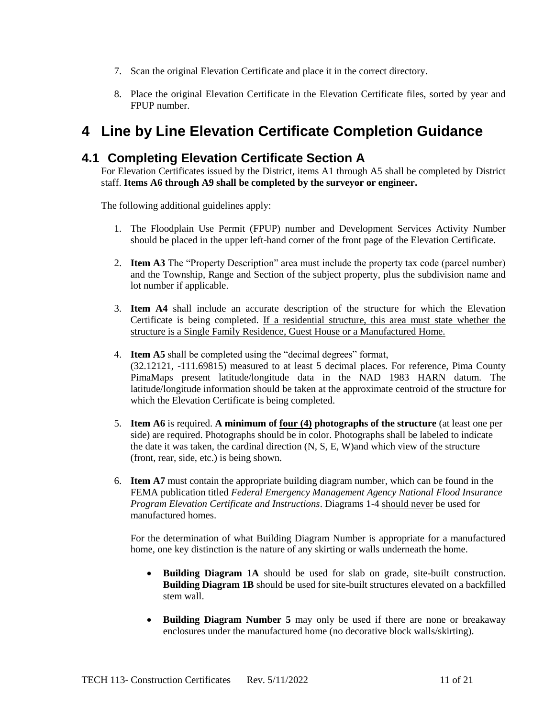- 7. Scan the original Elevation Certificate and place it in the correct directory.
- 8. Place the original Elevation Certificate in the Elevation Certificate files, sorted by year and FPUP number.

# <span id="page-10-0"></span>**4 Line by Line Elevation Certificate Completion Guidance**

# <span id="page-10-1"></span>**4.1 Completing Elevation Certificate Section A**

For Elevation Certificates issued by the District, items A1 through A5 shall be completed by District staff. **Items A6 through A9 shall be completed by the surveyor or engineer.**

The following additional guidelines apply:

- 1. The Floodplain Use Permit (FPUP) number and Development Services Activity Number should be placed in the upper left-hand corner of the front page of the Elevation Certificate.
- 2. **Item A3** The "Property Description" area must include the property tax code (parcel number) and the Township, Range and Section of the subject property, plus the subdivision name and lot number if applicable.
- 3. **Item A4** shall include an accurate description of the structure for which the Elevation Certificate is being completed. If a residential structure, this area must state whether the structure is a Single Family Residence, Guest House or a Manufactured Home.
- 4. **Item A5** shall be completed using the "decimal degrees" format, (32.12121, -111.69815) measured to at least 5 decimal places. For reference, Pima County PimaMaps present latitude/longitude data in the NAD 1983 HARN datum. The latitude/longitude information should be taken at the approximate centroid of the structure for which the Elevation Certificate is being completed.
- 5. **Item A6** is required. **A minimum of four (4) photographs of the structure** (at least one per side) are required. Photographs should be in color. Photographs shall be labeled to indicate the date it was taken, the cardinal direction (N, S, E, W)and which view of the structure (front, rear, side, etc.) is being shown.
- 6. **Item A7** must contain the appropriate building diagram number, which can be found in the FEMA publication titled *Federal Emergency Management Agency National Flood Insurance Program Elevation Certificate and Instructions*. Diagrams 1-4 should never be used for manufactured homes.

For the determination of what Building Diagram Number is appropriate for a manufactured home, one key distinction is the nature of any skirting or walls underneath the home.

- **Building Diagram 1A** should be used for slab on grade, site-built construction. **Building Diagram 1B** should be used for site-built structures elevated on a backfilled stem wall.
- **Building Diagram Number 5** may only be used if there are none or breakaway enclosures under the manufactured home (no decorative block walls/skirting).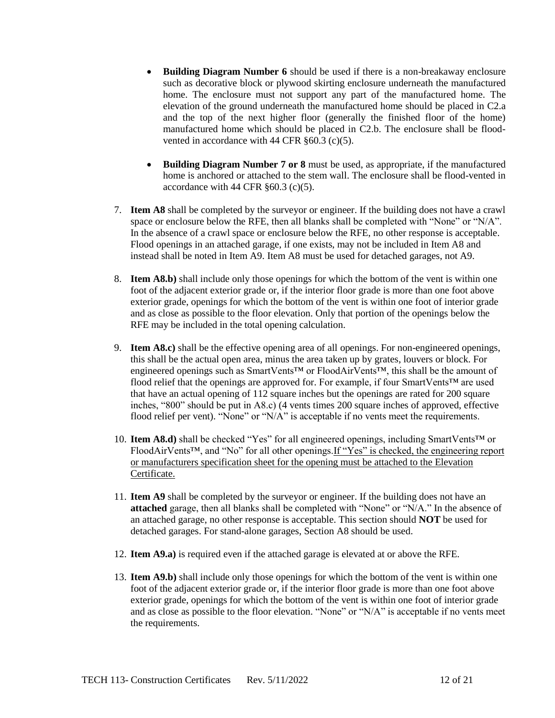- **Building Diagram Number 6** should be used if there is a non-breakaway enclosure such as decorative block or plywood skirting enclosure underneath the manufactured home. The enclosure must not support any part of the manufactured home. The elevation of the ground underneath the manufactured home should be placed in C2.a and the top of the next higher floor (generally the finished floor of the home) manufactured home which should be placed in C2.b. The enclosure shall be floodvented in accordance with 44 CFR §60.3 (c)(5).
- **Building Diagram Number 7 or 8** must be used, as appropriate, if the manufactured home is anchored or attached to the stem wall. The enclosure shall be flood-vented in accordance with 44 CFR §60.3 (c)(5).
- 7. **Item A8** shall be completed by the surveyor or engineer. If the building does not have a crawl space or enclosure below the RFE, then all blanks shall be completed with "None" or "N/A". In the absence of a crawl space or enclosure below the RFE, no other response is acceptable. Flood openings in an attached garage, if one exists, may not be included in Item A8 and instead shall be noted in Item A9. Item A8 must be used for detached garages, not A9.
- 8. **Item A8.b)** shall include only those openings for which the bottom of the vent is within one foot of the adjacent exterior grade or, if the interior floor grade is more than one foot above exterior grade, openings for which the bottom of the vent is within one foot of interior grade and as close as possible to the floor elevation. Only that portion of the openings below the RFE may be included in the total opening calculation.
- 9. **Item A8.c)** shall be the effective opening area of all openings. For non-engineered openings, this shall be the actual open area, minus the area taken up by grates, louvers or block. For engineered openings such as SmartVents™ or FloodAirVents™, this shall be the amount of flood relief that the openings are approved for. For example, if four SmartVents™ are used that have an actual opening of 112 square inches but the openings are rated for 200 square inches, "800" should be put in A8.c) (4 vents times 200 square inches of approved, effective flood relief per vent). "None" or "N/A" is acceptable if no vents meet the requirements.
- 10. **Item A8.d)** shall be checked "Yes" for all engineered openings, including SmartVents™ or FloodAirVents™, and "No" for all other openings.If "Yes" is checked, the engineering report or manufacturers specification sheet for the opening must be attached to the Elevation Certificate.
- 11. **Item A9** shall be completed by the surveyor or engineer. If the building does not have an **attached** garage, then all blanks shall be completed with "None" or "N/A." In the absence of an attached garage, no other response is acceptable. This section should **NOT** be used for detached garages. For stand-alone garages, Section A8 should be used.
- 12. **Item A9.a)** is required even if the attached garage is elevated at or above the RFE.
- 13. **Item A9.b)** shall include only those openings for which the bottom of the vent is within one foot of the adjacent exterior grade or, if the interior floor grade is more than one foot above exterior grade, openings for which the bottom of the vent is within one foot of interior grade and as close as possible to the floor elevation. "None" or "N/A" is acceptable if no vents meet the requirements.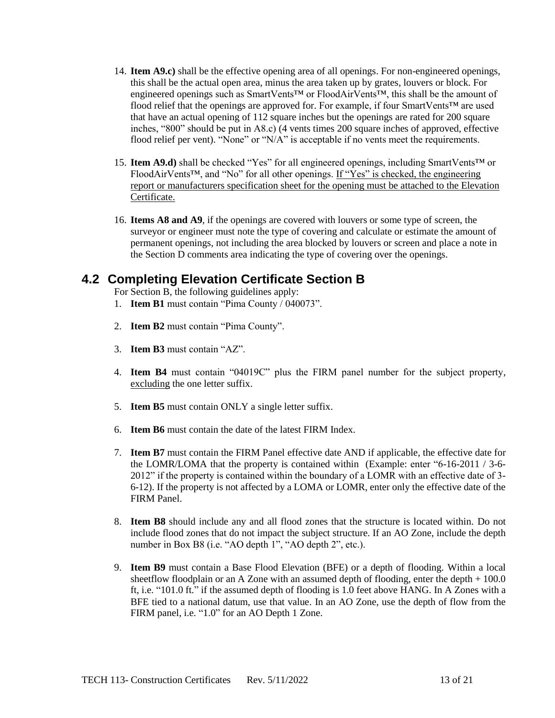- 14. **Item A9.c)** shall be the effective opening area of all openings. For non-engineered openings, this shall be the actual open area, minus the area taken up by grates, louvers or block. For engineered openings such as SmartVents™ or FloodAirVents™, this shall be the amount of flood relief that the openings are approved for. For example, if four SmartVents™ are used that have an actual opening of 112 square inches but the openings are rated for 200 square inches, "800" should be put in A8.c) (4 vents times 200 square inches of approved, effective flood relief per vent). "None" or "N/A" is acceptable if no vents meet the requirements.
- 15. **Item A9.d)** shall be checked "Yes" for all engineered openings, including SmartVents™ or FloodAirVents™, and "No" for all other openings. If "Yes" is checked, the engineering report or manufacturers specification sheet for the opening must be attached to the Elevation Certificate.
- 16. **Items A8 and A9**, if the openings are covered with louvers or some type of screen, the surveyor or engineer must note the type of covering and calculate or estimate the amount of permanent openings, not including the area blocked by louvers or screen and place a note in the Section D comments area indicating the type of covering over the openings.

# <span id="page-12-0"></span>**4.2 Completing Elevation Certificate Section B**

For Section B, the following guidelines apply:

- 1. **Item B1** must contain "Pima County / 040073".
- 2. **Item B2** must contain "Pima County".
- 3. **Item B3** must contain "AZ".
- 4. **Item B4** must contain "04019C" plus the FIRM panel number for the subject property, excluding the one letter suffix.
- 5. **Item B5** must contain ONLY a single letter suffix.
- 6. **Item B6** must contain the date of the latest FIRM Index.
- 7. **Item B7** must contain the FIRM Panel effective date AND if applicable, the effective date for the LOMR/LOMA that the property is contained within (Example: enter "6-16-2011 / 3-6- 2012" if the property is contained within the boundary of a LOMR with an effective date of 3-6-12). If the property is not affected by a LOMA or LOMR, enter only the effective date of the FIRM Panel.
- 8. **Item B8** should include any and all flood zones that the structure is located within. Do not include flood zones that do not impact the subject structure. If an AO Zone, include the depth number in Box B8 (i.e. "AO depth 1", "AO depth 2", etc.).
- 9. **Item B9** must contain a Base Flood Elevation (BFE) or a depth of flooding. Within a local sheetflow floodplain or an A Zone with an assumed depth of flooding, enter the depth + 100.0 ft, i.e. "101.0 ft." if the assumed depth of flooding is 1.0 feet above HANG. In A Zones with a BFE tied to a national datum, use that value. In an AO Zone, use the depth of flow from the FIRM panel, i.e. "1.0" for an AO Depth 1 Zone.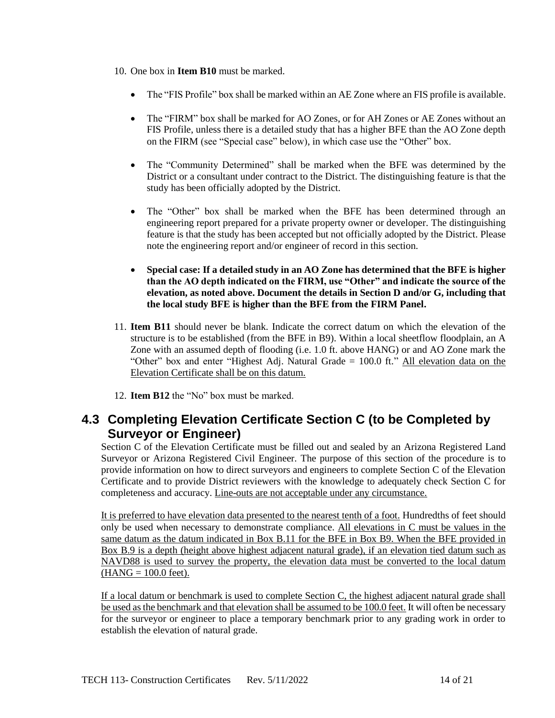- 10. One box in **Item B10** must be marked.
	- The "FIS Profile" box shall be marked within an AE Zone where an FIS profile is available.
	- The "FIRM" box shall be marked for AO Zones, or for AH Zones or AE Zones without an FIS Profile, unless there is a detailed study that has a higher BFE than the AO Zone depth on the FIRM (see "Special case" below), in which case use the "Other" box.
	- The "Community Determined" shall be marked when the BFE was determined by the District or a consultant under contract to the District. The distinguishing feature is that the study has been officially adopted by the District.
	- The "Other" box shall be marked when the BFE has been determined through an engineering report prepared for a private property owner or developer. The distinguishing feature is that the study has been accepted but not officially adopted by the District. Please note the engineering report and/or engineer of record in this section.
	- **Special case: If a detailed study in an AO Zone has determined that the BFE is higher than the AO depth indicated on the FIRM, use "Other" and indicate the source of the elevation, as noted above. Document the details in Section D and/or G, including that the local study BFE is higher than the BFE from the FIRM Panel.**
- 11. **Item B11** should never be blank. Indicate the correct datum on which the elevation of the structure is to be established (from the BFE in B9). Within a local sheetflow floodplain, an A Zone with an assumed depth of flooding (i.e. 1.0 ft. above HANG) or and AO Zone mark the "Other" box and enter "Highest Adj. Natural Grade = 100.0 ft." All elevation data on the Elevation Certificate shall be on this datum.
- 12. **Item B12** the "No" box must be marked.

# <span id="page-13-0"></span>**4.3 Completing Elevation Certificate Section C (to be Completed by Surveyor or Engineer)**

Section C of the Elevation Certificate must be filled out and sealed by an Arizona Registered Land Surveyor or Arizona Registered Civil Engineer. The purpose of this section of the procedure is to provide information on how to direct surveyors and engineers to complete Section C of the Elevation Certificate and to provide District reviewers with the knowledge to adequately check Section C for completeness and accuracy. Line-outs are not acceptable under any circumstance.

It is preferred to have elevation data presented to the nearest tenth of a foot. Hundredths of feet should only be used when necessary to demonstrate compliance. All elevations in C must be values in the same datum as the datum indicated in Box B.11 for the BFE in Box B9. When the BFE provided in Box B.9 is a depth (height above highest adjacent natural grade), if an elevation tied datum such as NAVD88 is used to survey the property, the elevation data must be converted to the local datum  $(HANG = 100.0 \text{ feet}).$ 

If a local datum or benchmark is used to complete Section C, the highest adjacent natural grade shall be used as the benchmark and that elevation shall be assumed to be 100.0 feet. It will often be necessary for the surveyor or engineer to place a temporary benchmark prior to any grading work in order to establish the elevation of natural grade.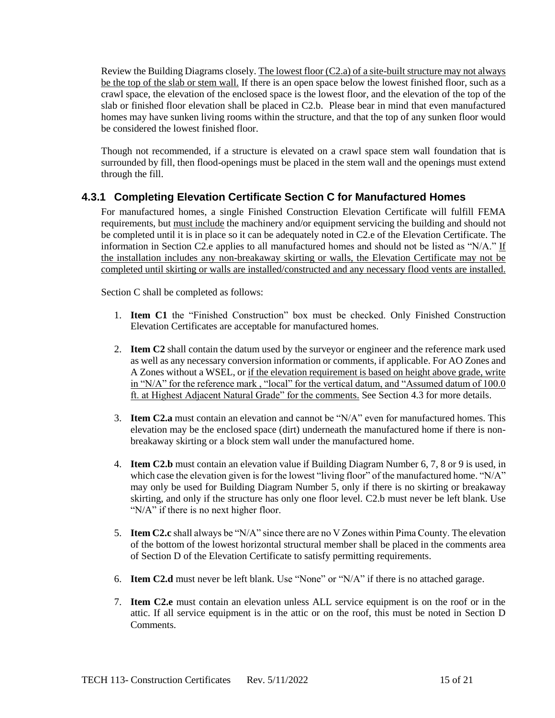Review the Building Diagrams closely. The lowest floor (C2.a) of a site-built structure may not always be the top of the slab or stem wall. If there is an open space below the lowest finished floor, such as a crawl space, the elevation of the enclosed space is the lowest floor, and the elevation of the top of the slab or finished floor elevation shall be placed in C2.b. Please bear in mind that even manufactured homes may have sunken living rooms within the structure, and that the top of any sunken floor would be considered the lowest finished floor.

Though not recommended, if a structure is elevated on a crawl space stem wall foundation that is surrounded by fill, then flood-openings must be placed in the stem wall and the openings must extend through the fill.

### <span id="page-14-0"></span>**4.3.1 Completing Elevation Certificate Section C for Manufactured Homes**

For manufactured homes, a single Finished Construction Elevation Certificate will fulfill FEMA requirements, but must include the machinery and/or equipment servicing the building and should not be completed until it is in place so it can be adequately noted in C2.e of the Elevation Certificate. The information in Section C2.e applies to all manufactured homes and should not be listed as "N/A." If the installation includes any non-breakaway skirting or walls, the Elevation Certificate may not be completed until skirting or walls are installed/constructed and any necessary flood vents are installed.

Section C shall be completed as follows:

- 1. **Item C1** the "Finished Construction" box must be checked. Only Finished Construction Elevation Certificates are acceptable for manufactured homes.
- 2. **Item C2** shall contain the datum used by the surveyor or engineer and the reference mark used as well as any necessary conversion information or comments, if applicable. For AO Zones and A Zones without a WSEL, or if the elevation requirement is based on height above grade, write in "N/A" for the reference mark, "local" for the vertical datum, and "Assumed datum of 100.0 ft. at Highest Adjacent Natural Grade" for the comments. See Section [4.3](#page-13-0) for more details.
- 3. **Item C2.a** must contain an elevation and cannot be "N/A" even for manufactured homes. This elevation may be the enclosed space (dirt) underneath the manufactured home if there is nonbreakaway skirting or a block stem wall under the manufactured home.
- 4. **Item C2.b** must contain an elevation value if Building Diagram Number 6, 7, 8 or 9 is used, in which case the elevation given is for the lowest "living floor" of the manufactured home. "N/A" may only be used for Building Diagram Number 5, only if there is no skirting or breakaway skirting, and only if the structure has only one floor level. C2.b must never be left blank. Use "N/A" if there is no next higher floor.
- 5. **Item C2.c** shall always be "N/A" since there are no V Zones within Pima County. The elevation of the bottom of the lowest horizontal structural member shall be placed in the comments area of Section D of the Elevation Certificate to satisfy permitting requirements.
- 6. **Item C2.d** must never be left blank. Use "None" or "N/A" if there is no attached garage.
- 7. **Item C2.e** must contain an elevation unless ALL service equipment is on the roof or in the attic. If all service equipment is in the attic or on the roof, this must be noted in Section D Comments.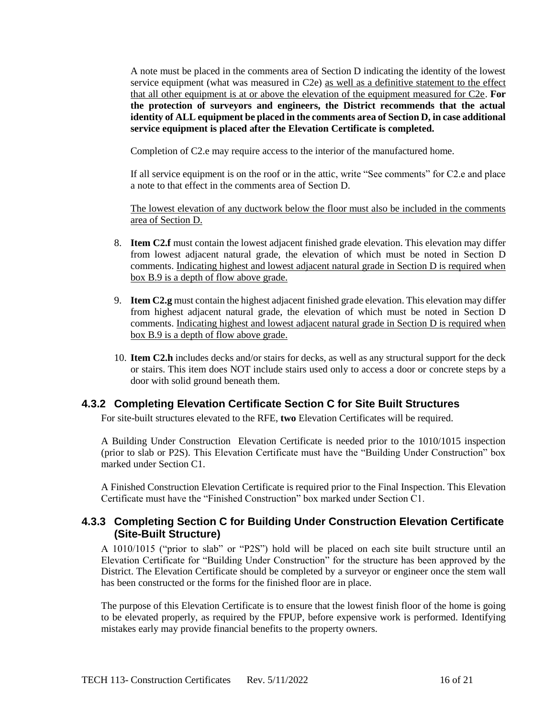A note must be placed in the comments area of Section D indicating the identity of the lowest service equipment (what was measured in C2e) as well as a definitive statement to the effect that all other equipment is at or above the elevation of the equipment measured for C2e. **For the protection of surveyors and engineers, the District recommends that the actual identity of ALL equipment be placed in the comments area of Section D, in case additional service equipment is placed after the Elevation Certificate is completed.**

Completion of C2.e may require access to the interior of the manufactured home.

If all service equipment is on the roof or in the attic, write "See comments" for C2.e and place a note to that effect in the comments area of Section D.

The lowest elevation of any ductwork below the floor must also be included in the comments area of Section D.

- 8. **Item C2.f** must contain the lowest adjacent finished grade elevation. This elevation may differ from lowest adjacent natural grade, the elevation of which must be noted in Section D comments. Indicating highest and lowest adjacent natural grade in Section D is required when box B.9 is a depth of flow above grade.
- 9. **Item C2.g** must contain the highest adjacent finished grade elevation. This elevation may differ from highest adjacent natural grade, the elevation of which must be noted in Section D comments. Indicating highest and lowest adjacent natural grade in Section D is required when box B.9 is a depth of flow above grade.
- 10. **Item C2.h** includes decks and/or stairs for decks, as well as any structural support for the deck or stairs. This item does NOT include stairs used only to access a door or concrete steps by a door with solid ground beneath them.

### <span id="page-15-0"></span>**4.3.2 Completing Elevation Certificate Section C for Site Built Structures**

For site-built structures elevated to the RFE, **two** Elevation Certificates will be required.

A Building Under Construction Elevation Certificate is needed prior to the 1010/1015 inspection (prior to slab or P2S). This Elevation Certificate must have the "Building Under Construction" box marked under Section C1.

A Finished Construction Elevation Certificate is required prior to the Final Inspection. This Elevation Certificate must have the "Finished Construction" box marked under Section C1.

### <span id="page-15-1"></span>**4.3.3 Completing Section C for Building Under Construction Elevation Certificate (Site-Built Structure)**

A 1010/1015 ("prior to slab" or "P2S") hold will be placed on each site built structure until an Elevation Certificate for "Building Under Construction" for the structure has been approved by the District. The Elevation Certificate should be completed by a surveyor or engineer once the stem wall has been constructed or the forms for the finished floor are in place.

The purpose of this Elevation Certificate is to ensure that the lowest finish floor of the home is going to be elevated properly, as required by the FPUP, before expensive work is performed. Identifying mistakes early may provide financial benefits to the property owners.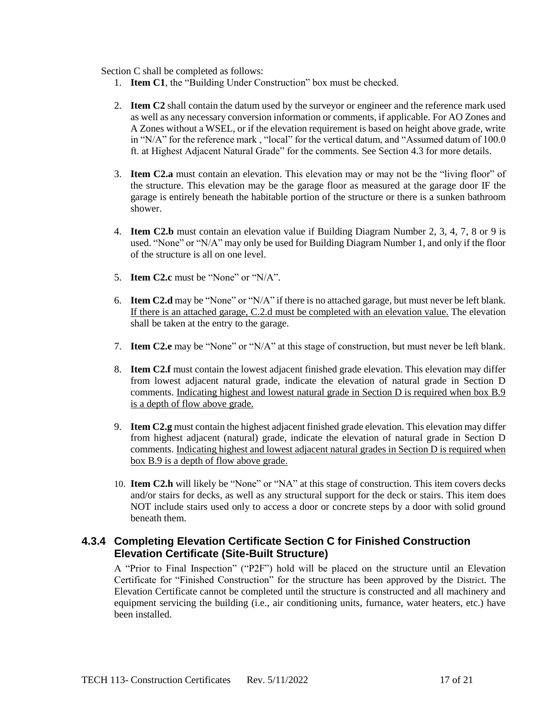Section C shall be completed as follows:

- 1. **Item C1**, the "Building Under Construction" box must be checked.
- 2. **Item C2** shall contain the datum used by the surveyor or engineer and the reference mark used as well as any necessary conversion information or comments, if applicable. For AO Zones and A Zones without a WSEL, or if the elevation requirement is based on height above grade, write in "N/A" for the reference mark , "local" for the vertical datum, and "Assumed datum of 100.0 ft. at Highest Adjacent Natural Grade" for the comments. See Section [4.3](#page-13-0) for more details.
- 3. **Item C2.a** must contain an elevation. This elevation may or may not be the "living floor" of the structure. This elevation may be the garage floor as measured at the garage door IF the garage is entirely beneath the habitable portion of the structure or there is a sunken bathroom shower.
- 4. **Item C2.b** must contain an elevation value if Building Diagram Number 2, 3, 4, 7, 8 or 9 is used. "None" or "N/A" may only be used for Building Diagram Number 1, and only if the floor of the structure is all on one level.
- 5. **Item C2.c** must be "None" or "N/A".
- 6. **Item C2.d** may be "None" or "N/A" if there is no attached garage, but must never be left blank. If there is an attached garage, C.2.d must be completed with an elevation value. The elevation shall be taken at the entry to the garage.
- 7. **Item C2.e** may be "None" or "N/A" at this stage of construction, but must never be left blank.
- 8. **Item C2.f** must contain the lowest adjacent finished grade elevation. This elevation may differ from lowest adjacent natural grade, indicate the elevation of natural grade in Section D comments. Indicating highest and lowest natural grade in Section D is required when box B.9 is a depth of flow above grade.
- 9. **Item C2.g** must contain the highest adjacent finished grade elevation. This elevation may differ from highest adjacent (natural) grade, indicate the elevation of natural grade in Section D comments. Indicating highest and lowest adjacent natural grades in Section D is required when box B.9 is a depth of flow above grade.
- 10. **Item C2.h** will likely be "None" or "NA" at this stage of construction. This item covers decks and/or stairs for decks, as well as any structural support for the deck or stairs. This item does NOT include stairs used only to access a door or concrete steps by a door with solid ground beneath them.

### <span id="page-16-0"></span>**4.3.4 Completing Elevation Certificate Section C for Finished Construction Elevation Certificate (Site-Built Structure)**

A "Prior to Final Inspection" ("P2F") hold will be placed on the structure until an Elevation Certificate for "Finished Construction" for the structure has been approved by the District. The Elevation Certificate cannot be completed until the structure is constructed and all machinery and equipment servicing the building (i.e., air conditioning units, furnance, water heaters, etc.) have been installed.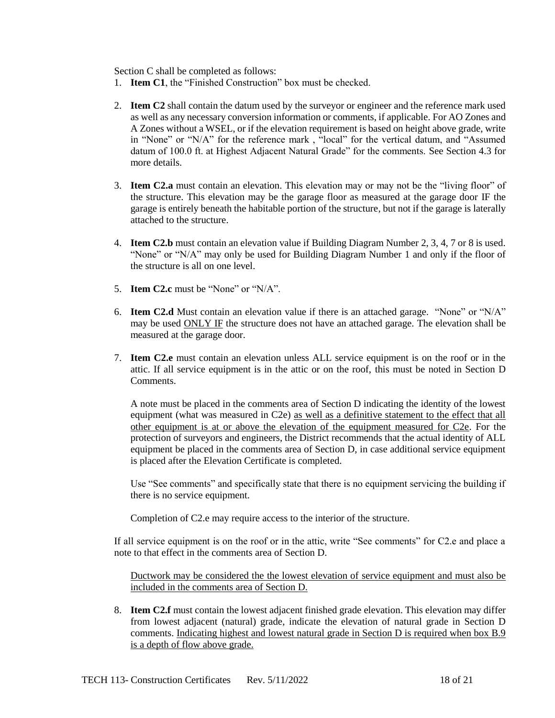Section C shall be completed as follows:

- 1. **Item C1**, the "Finished Construction" box must be checked.
- 2. **Item C2** shall contain the datum used by the surveyor or engineer and the reference mark used as well as any necessary conversion information or comments, if applicable. For AO Zones and A Zones without a WSEL, or if the elevation requirement is based on height above grade, write in "None" or "N/A" for the reference mark , "local" for the vertical datum, and "Assumed datum of 100.0 ft. at Highest Adjacent Natural Grade" for the comments. See Section [4.3](#page-13-0) for more details.
- 3. **Item C2.a** must contain an elevation. This elevation may or may not be the "living floor" of the structure. This elevation may be the garage floor as measured at the garage door IF the garage is entirely beneath the habitable portion of the structure, but not if the garage is laterally attached to the structure.
- 4. **Item C2.b** must contain an elevation value if Building Diagram Number 2, 3, 4, 7 or 8 is used. "None" or "N/A" may only be used for Building Diagram Number 1 and only if the floor of the structure is all on one level.
- 5. **Item C2.c** must be "None" or "N/A".
- 6. **Item C2.d** Must contain an elevation value if there is an attached garage. "None" or "N/A" may be used ONLY IF the structure does not have an attached garage. The elevation shall be measured at the garage door.
- 7. **Item C2.e** must contain an elevation unless ALL service equipment is on the roof or in the attic. If all service equipment is in the attic or on the roof, this must be noted in Section D Comments.

A note must be placed in the comments area of Section D indicating the identity of the lowest equipment (what was measured in C2e) as well as a definitive statement to the effect that all other equipment is at or above the elevation of the equipment measured for C2e. For the protection of surveyors and engineers, the District recommends that the actual identity of ALL equipment be placed in the comments area of Section D, in case additional service equipment is placed after the Elevation Certificate is completed.

Use "See comments" and specifically state that there is no equipment servicing the building if there is no service equipment.

Completion of C2.e may require access to the interior of the structure.

If all service equipment is on the roof or in the attic, write "See comments" for C2.e and place a note to that effect in the comments area of Section D.

Ductwork may be considered the the lowest elevation of service equipment and must also be included in the comments area of Section D.

8. **Item C2.f** must contain the lowest adjacent finished grade elevation. This elevation may differ from lowest adjacent (natural) grade, indicate the elevation of natural grade in Section D comments. Indicating highest and lowest natural grade in Section D is required when box B.9 is a depth of flow above grade.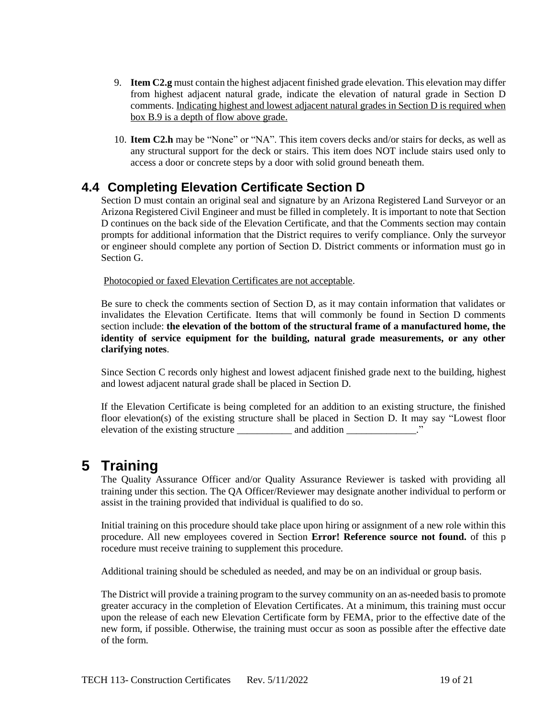- 9. **Item C2.g** must contain the highest adjacent finished grade elevation. This elevation may differ from highest adjacent natural grade, indicate the elevation of natural grade in Section D comments. Indicating highest and lowest adjacent natural grades in Section D is required when box B.9 is a depth of flow above grade.
- 10. **Item C2.h** may be "None" or "NA". This item covers decks and/or stairs for decks, as well as any structural support for the deck or stairs. This item does NOT include stairs used only to access a door or concrete steps by a door with solid ground beneath them.

# <span id="page-18-0"></span>**4.4 Completing Elevation Certificate Section D**

Section D must contain an original seal and signature by an Arizona Registered Land Surveyor or an Arizona Registered Civil Engineer and must be filled in completely. It is important to note that Section D continues on the back side of the Elevation Certificate, and that the Comments section may contain prompts for additional information that the District requires to verify compliance. Only the surveyor or engineer should complete any portion of Section D. District comments or information must go in Section G.

Photocopied or faxed Elevation Certificates are not acceptable.

Be sure to check the comments section of Section D, as it may contain information that validates or invalidates the Elevation Certificate. Items that will commonly be found in Section D comments section include: **the elevation of the bottom of the structural frame of a manufactured home, the identity of service equipment for the building, natural grade measurements, or any other clarifying notes**.

Since Section C records only highest and lowest adjacent finished grade next to the building, highest and lowest adjacent natural grade shall be placed in Section D.

If the Elevation Certificate is being completed for an addition to an existing structure, the finished floor elevation(s) of the existing structure shall be placed in Section D. It may say "Lowest floor elevation of the existing structure \_\_\_\_\_\_\_\_\_\_\_ and addition \_\_\_\_\_\_\_\_\_\_\_\_."

# <span id="page-18-1"></span>**5 Training**

The Quality Assurance Officer and/or Quality Assurance Reviewer is tasked with providing all training under this section. The QA Officer/Reviewer may designate another individual to perform or assist in the training provided that individual is qualified to do so.

Initial training on this procedure should take place upon hiring or assignment of a new role within this procedure. All new employees covered in Section **Error! Reference source not found.** of this p rocedure must receive training to supplement this procedure.

Additional training should be scheduled as needed, and may be on an individual or group basis.

The District will provide a training program to the survey community on an as-needed basis to promote greater accuracy in the completion of Elevation Certificates. At a minimum, this training must occur upon the release of each new Elevation Certificate form by FEMA, prior to the effective date of the new form, if possible. Otherwise, the training must occur as soon as possible after the effective date of the form.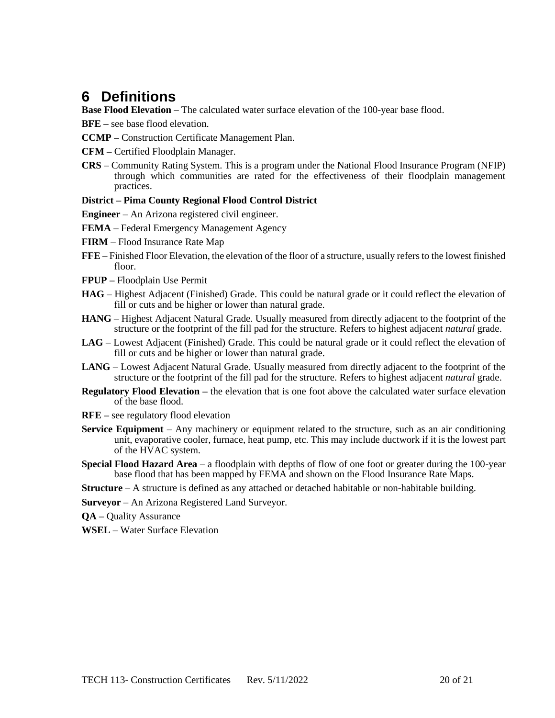# <span id="page-19-0"></span>**6 Definitions**

**Base Flood Elevation** – The calculated water surface elevation of the 100-year base flood.

- **BFE –** see base flood elevation.
- **CCMP –** Construction Certificate Management Plan.
- **CFM –** Certified Floodplain Manager.
- **CRS** Community Rating System. This is a program under the National Flood Insurance Program (NFIP) through which communities are rated for the effectiveness of their floodplain management practices.

#### **District – Pima County Regional Flood Control District**

- **Engineer** An Arizona registered civil engineer.
- **FEMA –** Federal Emergency Management Agency
- **FIRM**  Flood Insurance Rate Map
- **FFE –** Finished Floor Elevation, the elevation of the floor of a structure, usually refers to the lowest finished floor.
- **FPUP –** Floodplain Use Permit
- **HAG** Highest Adjacent (Finished) Grade. This could be natural grade or it could reflect the elevation of fill or cuts and be higher or lower than natural grade.
- **HANG** Highest Adjacent Natural Grade. Usually measured from directly adjacent to the footprint of the structure or the footprint of the fill pad for the structure. Refers to highest adjacent *natural* grade.
- **LAG** Lowest Adjacent (Finished) Grade. This could be natural grade or it could reflect the elevation of fill or cuts and be higher or lower than natural grade.
- **LANG** Lowest Adjacent Natural Grade. Usually measured from directly adjacent to the footprint of the structure or the footprint of the fill pad for the structure. Refers to highest adjacent *natural* grade.
- **Regulatory Flood Elevation –** the elevation that is one foot above the calculated water surface elevation of the base flood.
- **RFE –** see regulatory flood elevation
- **Service Equipment** Any machinery or equipment related to the structure, such as an air conditioning unit, evaporative cooler, furnace, heat pump, etc. This may include ductwork if it is the lowest part of the HVAC system.
- **Special Flood Hazard Area** a floodplain with depths of flow of one foot or greater during the 100-year base flood that has been mapped by FEMA and shown on the Flood Insurance Rate Maps.
- **Structure** A structure is defined as any attached or detached habitable or non-habitable building.
- **Surveyor** An Arizona Registered Land Surveyor.
- **QA –** Quality Assurance
- **WSEL** Water Surface Elevation